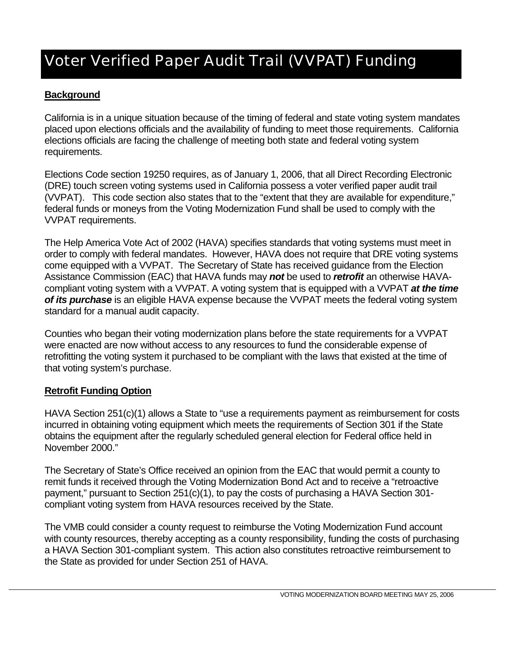## Voter Verified Paper Audit Trail (VVPAT) Funding

## **Background**

California is in a unique situation because of the timing of federal and state voting system mandates placed upon elections officials and the availability of funding to meet those requirements. California elections officials are facing the challenge of meeting both state and federal voting system requirements.

Elections Code section 19250 requires, as of January 1, 2006, that all Direct Recording Electronic (DRE) touch screen voting systems used in California possess a voter verified paper audit trail (VVPAT). This code section also states that to the "extent that they are available for expenditure," federal funds or moneys from the Voting Modernization Fund shall be used to comply with the VVPAT requirements.

The Help America Vote Act of 2002 (HAVA) specifies standards that voting systems must meet in order to comply with federal mandates. However, HAVA does not require that DRE voting systems come equipped with a VVPAT. The Secretary of State has received guidance from the Election Assistance Commission (EAC) that HAVA funds may *not* be used to *retrofit* an otherwise HAVAcompliant voting system with a VVPAT. A voting system that is equipped with a VVPAT *at the time of its purchase* is an eligible HAVA expense because the VVPAT meets the federal voting system standard for a manual audit capacity.

Counties who began their voting modernization plans before the state requirements for a VVPAT were enacted are now without access to any resources to fund the considerable expense of retrofitting the voting system it purchased to be compliant with the laws that existed at the time of that voting system's purchase.

## **Retrofit Funding Option**

HAVA Section 251(c)(1) allows a State to "use a requirements payment as reimbursement for costs incurred in obtaining voting equipment which meets the requirements of Section 301 if the State obtains the equipment after the regularly scheduled general election for Federal office held in November 2000."

The Secretary of State's Office received an opinion from the EAC that would permit a county to remit funds it received through the Voting Modernization Bond Act and to receive a "retroactive payment," pursuant to Section 251(c)(1), to pay the costs of purchasing a HAVA Section 301 compliant voting system from HAVA resources received by the State.

The VMB could consider a county request to reimburse the Voting Modernization Fund account with county resources, thereby accepting as a county responsibility, funding the costs of purchasing a HAVA Section 301-compliant system. This action also constitutes retroactive reimbursement to the State as provided for under Section 251 of HAVA.